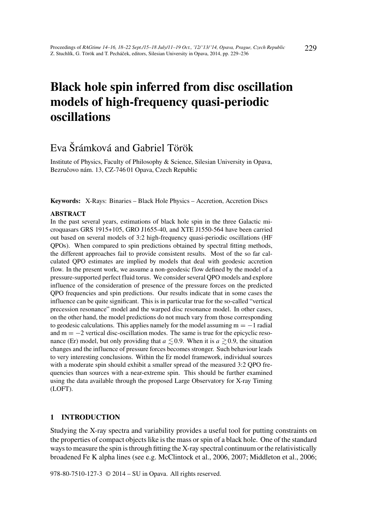# Black hole spin inferred from disc oscillation models of high-frequency quasi-periodic oscillations

## Eva Šrámková and Gabriel Török

Institute of Physics, Faculty of Philosophy & Science, Silesian University in Opava, Bezručovo nám. 13, CZ-746 01 Opava, Czech Republic

Keywords: X-Rays: Binaries – Black Hole Physics – Accretion, Accretion Discs

#### ABSTRACT

In the past several years, estimations of black hole spin in the three Galactic microquasars GRS 1915+105, GRO J1655-40, and XTE J1550-564 have been carried out based on several models of 3:2 high-frequency quasi-periodic oscillations (HF QPOs). When compared to spin predictions obtained by spectral fitting methods, the different approaches fail to provide consistent results. Most of the so far calculated QPO estimates are implied by models that deal with geodesic accretion flow. In the present work, we assume a non-geodesic flow defined by the model of a pressure-supported perfect fluid torus. We consider several QPO models and explore influence of the consideration of presence of the pressure forces on the predicted QPO frequencies and spin predictions. Our results indicate that in some cases the influence can be quite significant. This is in particular true for the so-called "vertical precession resonance" model and the warped disc resonance model. In other cases, on the other hand, the model predictions do not much vary from those corresponding to geodesic calculations. This applies namely for the model assuming  $m = -1$  radial and  $m = -2$  vertical disc-oscillation modes. The same is true for the epicyclic resonance (Er) model, but only providing that  $a \leq 0.9$ . When it is  $a \geq 0.9$ , the situation changes and the influence of pressure forces becomes stronger. Such behaviour leads to very interesting conclusions. Within the Er model framework, individual sources with a moderate spin should exhibit a smaller spread of the measured 3:2 QPO frequencies than sources with a near-extreme spin. This should be further examined using the data available through the proposed Large Observatory for X-ray Timing (LOFT).

#### 1 INTRODUCTION

Studying the X-ray spectra and variability provides a useful tool for putting constraints on the properties of compact objects like is the mass or spin of a black hole. One of the standard ways to measure the spin is through fitting the X-ray spectral continuum or the relativistically broadened Fe K alpha lines (see e.g. McClintock et al., 2006, 2007; Middleton et al., 2006;

978-80-7510-127-3 © 2014 – SU in Opava. All rights reserved.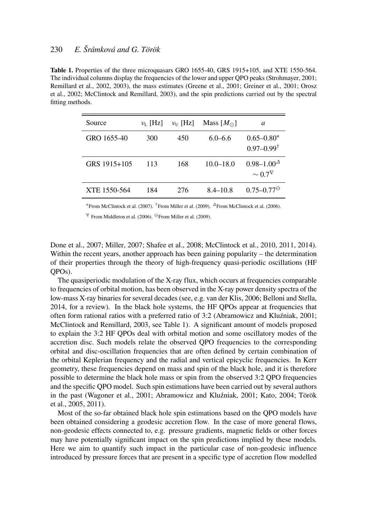## 230 *E. Šrámková and G. Török*

Table 1. Properties of the three microquasars GRO 1655-40, GRS 1915+105, and XTE 1550-564. The individual columns display the frequencies of the lower and upper QPO peaks (Strohmayer, 2001; Remillard et al., 2002, 2003), the mass estimates (Greene et al., 2001; Greiner et al., 2001; Orosz et al., 2002; McClintock and Remillard, 2003), and the spin predictions carried out by the spectral fitting methods.

| Source       | $v_{I}$ [Hz] | $v_{\text{II}}$ [Hz] | Mass $[M_{\odot}]$ | a                                             |
|--------------|--------------|----------------------|--------------------|-----------------------------------------------|
| GRO 1655-40  | 300          | 450                  | $6.0 - 6.6$        | $0.65 - 0.80*$<br>$0.97 - 0.99^{\dagger}$     |
| GRS 1915+105 | 113          | 168                  | $10.0 - 18.0$      | $0.98 - 1.00^{\Delta}$<br>$\sim 0.7^{\nabla}$ |
| XTE 1550-564 | 184          | 276                  | $8.4 - 10.8$       | $0.75 - 0.77^{\ominus}$                       |

<sup>∗</sup>From McClintock et al. (2007). †From Miller et al. (2009). <sup>∆</sup>From McClintock et al. (2006).

 $\nabla$  From Middleton et al. (2006).  $\Theta$  From Miller et al. (2009).

Done et al., 2007; Miller, 2007; Shafee et al., 2008; McClintock et al., 2010, 2011, 2014). Within the recent years, another approach has been gaining popularity – the determination of their properties through the theory of high-frequency quasi-periodic oscillations (HF QPOs).

The quasiperiodic modulation of the X-ray flux, which occurs at frequencies comparable to frequencies of orbital motion, has been observed in the X-ray power density spectra of the low-mass X-ray binaries for several decades (see, e.g. van der Klis, 2006; Belloni and Stella, 2014, for a review). In the black hole systems, the HF QPOs appear at frequencies that often form rational ratios with a preferred ratio of 3:2 (Abramowicz and Kluzniak, 2001; ´ McClintock and Remillard, 2003, see Table 1). A significant amount of models proposed to explain the 3:2 HF QPOs deal with orbital motion and some oscillatory modes of the accretion disc. Such models relate the observed QPO frequencies to the corresponding orbital and disc-oscillation frequencies that are often defined by certain combination of the orbital Keplerian frequency and the radial and vertical epicyclic frequencies. In Kerr geometry, these frequencies depend on mass and spin of the black hole, and it is therefore possible to determine the black hole mass or spin from the observed 3:2 QPO frequencies and the specific QPO model. Such spin estimations have been carried out by several authors in the past (Wagoner et al., 2001; Abramowicz and Kluzniak, 2001; Kato, 2004; Török ´ et al., 2005, 2011).

Most of the so-far obtained black hole spin estimations based on the QPO models have been obtained considering a geodesic accretion flow. In the case of more general flows, non-geodesic effects connected to, e.g. pressure gradients, magnetic fields or other forces may have potentially significant impact on the spin predictions implied by these models. Here we aim to quantify such impact in the particular case of non-geodesic influence introduced by pressure forces that are present in a specific type of accretion flow modelled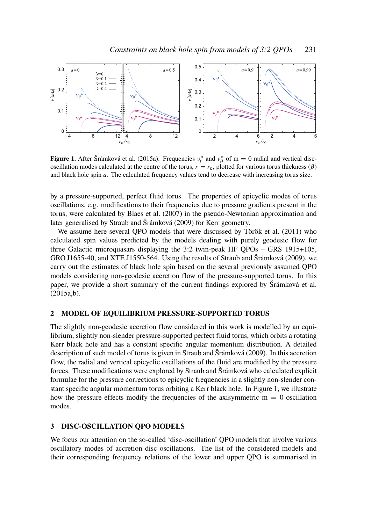

**Figure 1.** After Šrámková et al. (2015a). Frequencies  $v_r^*$  and  $v_\theta^*$  of m = 0 radial and vertical discoscillation modes calculated at the centre of the torus,  $r = r_c$ , plotted for various torus thickness ( $\beta$ ) and black hole spin *a*. The calculated frequency values tend to decrease with increasing torus size.

by a pressure-supported, perfect fluid torus. The properties of epicyclic modes of torus oscillations, e.g. modifications to their frequencies due to pressure gradients present in the torus, were calculated by Blaes et al. (2007) in the pseudo-Newtonian approximation and later generalised by Straub and Šrámková (2009) for Kerr geometry.

We assume here several QPO models that were discussed by Török et al. (2011) who calculated spin values predicted by the models dealing with purely geodesic flow for three Galactic microquasars displaying the 3:2 twin-peak HF QPOs – GRS 1915+105, GRO J1655-40, and XTE J1550-564. Using the results of Straub and Šrámková (2009), we carry out the estimates of black hole spin based on the several previously assumed QPO models considering non-geodesic accretion flow of the pressure-supported torus. In this paper, we provide a short summary of the current findings explored by Šrámková et al. (2015a,b).

### 2 MODEL OF EQUILIBRIUM PRESSURE-SUPPORTED TORUS

The slightly non-geodesic accretion flow considered in this work is modelled by an equilibrium, slightly non-slender pressure-supported perfect fluid torus, which orbits a rotating Kerr black hole and has a constant specific angular momentum distribution. A detailed description of such model of torus is given in Straub and Šrámková (2009). In this accretion flow, the radial and vertical epicyclic oscillations of the fluid are modified by the pressure forces. These modifications were explored by Straub and Šrámková who calculated explicit formulae for the pressure corrections to epicyclic frequencies in a slightly non-slender constant specific angular momentum torus orbiting a Kerr black hole. In Figure 1, we illustrate how the pressure effects modify the frequencies of the axisymmetric  $m = 0$  oscillation modes.

#### 3 DISC-OSCILLATION QPO MODELS

We focus our attention on the so-called 'disc-oscillation' QPO models that involve various oscillatory modes of accretion disc oscillations. The list of the considered models and their corresponding frequency relations of the lower and upper QPO is summarised in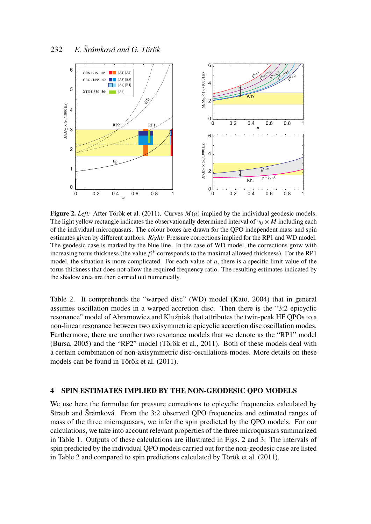

Figure 2. *Left:* After Török et al. (2011). Curves *M*(*a*) implied by the individual geodesic models. The light yellow rectangle indicates the observationally determined interval of  $v_U \times M$  including each of the individual microquasars. The colour boxes are drawn for the QPO independent mass and spin estimates given by different authors. *Right:* Pressure corrections implied for the RP1 and WD model. The geodesic case is marked by the blue line. In the case of WD model, the corrections grow with increasing torus thickness (the value  $\beta^*$  corresponds to the maximal allowed thickness). For the RP1 model, the situation is more complicated. For each value of *a*, there is a specific limit value of the torus thickness that does not allow the required frequency ratio. The resulting estimates indicated by the shadow area are then carried out numerically.

Table 2. It comprehends the "warped disc" (WD) model (Kato, 2004) that in general assumes oscillation modes in a warped accretion disc. Then there is the "3:2 epicyclic resonance" model of Abramowicz and Kluźniak that attributes the twin-peak HF QPOs to a non-linear resonance between two axisymmetric epicyclic accretion disc oscillation modes. Furthermore, there are another two resonance models that we denote as the "RP1" model (Bursa, 2005) and the "RP2" model (Török et al., 2011). Both of these models deal with a certain combination of non-axisymmetric disc-oscillations modes. More details on these models can be found in Török et al. (2011).

#### 4 SPIN ESTIMATES IMPLIED BY THE NON-GEODESIC QPO MODELS

We use here the formulae for pressure corrections to epicyclic frequencies calculated by Straub and Šrámková. From the 3:2 observed QPO frequencies and estimated ranges of mass of the three microquasars, we infer the spin predicted by the QPO models. For our calculations, we take into account relevant properties of the three microquasars summarized in Table 1. Outputs of these calculations are illustrated in Figs. 2 and 3. The intervals of spin predicted by the individual QPO models carried out for the non-geodesic case are listed in Table 2 and compared to spin predictions calculated by Török et al. (2011).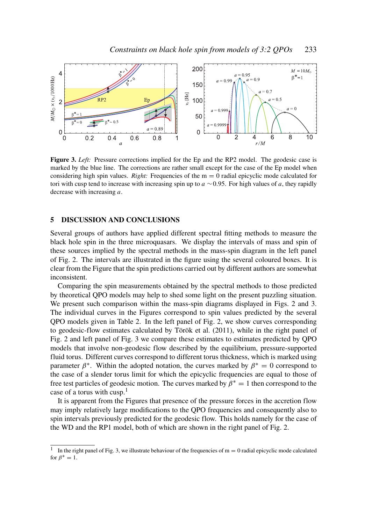

Figure 3. *Left:* Pressure corrections implied for the Ep and the RP2 model. The geodesic case is marked by the blue line. The corrections are rather small except for the case of the Ep model when considering high spin values. *Right:* Frequencies of the  $m = 0$  radial epicyclic mode calculated for tori with cusp tend to increase with increasing spin up to *a* ∼0.95. For high values of *a*, they rapidly decrease with increasing *a*.

#### 5 DISCUSSION AND CONCLUSIONS

Several groups of authors have applied different spectral fitting methods to measure the black hole spin in the three microquasars. We display the intervals of mass and spin of these sources implied by the spectral methods in the mass-spin diagram in the left panel of Fig. 2. The intervals are illustrated in the figure using the several coloured boxes. It is clear from the Figure that the spin predictions carried out by different authors are somewhat inconsistent.

Comparing the spin measurements obtained by the spectral methods to those predicted by theoretical QPO models may help to shed some light on the present puzzling situation. We present such comparison within the mass-spin diagrams displayed in Figs. 2 and 3. The individual curves in the Figures correspond to spin values predicted by the several QPO models given in Table 2. In the left panel of Fig. 2, we show curves corresponding to geodesic-flow estimates calculated by Török et al. (2011), while in the right panel of Fig. 2 and left panel of Fig. 3 we compare these estimates to estimates predicted by QPO models that involve non-geodesic flow described by the equilibrium, pressure-supported fluid torus. Different curves correspond to different torus thickness, which is marked using parameter  $\beta^*$ . Within the adopted notation, the curves marked by  $\beta^* = 0$  correspond to the case of a slender torus limit for which the epicyclic frequencies are equal to those of free test particles of geodesic motion. The curves marked by  $\beta^* = 1$  then correspond to the case of a torus with cusp.<sup>1</sup>

It is apparent from the Figures that presence of the pressure forces in the accretion flow may imply relatively large modifications to the QPO frequencies and consequently also to spin intervals previously predicted for the geodesic flow. This holds namely for the case of the WD and the RP1 model, both of which are shown in the right panel of Fig. 2.

<sup>1</sup> In the right panel of Fig. 3, we illustrate behaviour of the frequencies of  $m = 0$  radial epicyclic mode calculated for  $\beta^* = 1$ .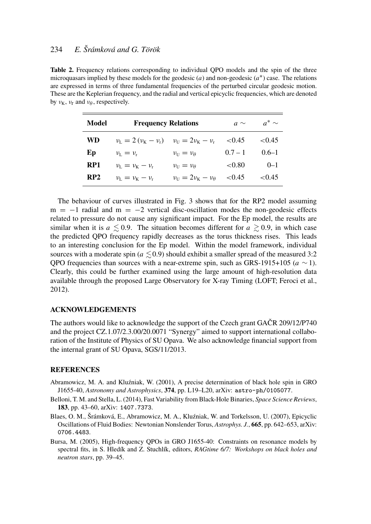## 234 *E. Šrámková and G. Török*

Table 2. Frequency relations corresponding to individual QPO models and the spin of the three microquasars implied by these models for the geodesic  $(a)$  and non-geodesic  $(a^*)$  case. The relations are expressed in terms of three fundamental frequencies of the perturbed circular geodesic motion. These are the Keplerian frequency, and the radial and vertical epicyclic frequencies, which are denoted by  $v_K$ ,  $v_r$  and  $v_\theta$ , respectively.

| Model     | <b>Frequency Relations</b>                          |                                                    | $a \sim$  | $a^*$ ~   |
|-----------|-----------------------------------------------------|----------------------------------------------------|-----------|-----------|
| <b>WD</b> | $\nu_L = 2(\nu_K - \nu_r)$ $\nu_U = 2\nu_K - \nu_r$ |                                                    | ${<}0.45$ | ${<}0.45$ |
| Ep        | $\nu_{\rm r} = \nu_{\rm r}$                         | $\nu_{\text{II}} = \nu_{\theta}$                   | $0.7 - 1$ | $0.6 - 1$ |
| RP1       | $\nu_{\rm L} = \nu_{\rm K} - \nu_{\rm r}$           | $\nu_{\text{II}} = \nu_{\theta}$                   | ${<}0.80$ | $0 - 1$   |
| RP2       | $\nu_{\rm L} = \nu_{\rm K} - \nu_{\rm r}$           | $\nu_{\text{II}} = 2\nu_{\text{K}} - \nu_{\theta}$ | < 0.45    | ${<}0.45$ |

The behaviour of curves illustrated in Fig. 3 shows that for the RP2 model assuming  $m = -1$  radial and  $m = -2$  vertical disc-oscillation modes the non-geodesic effects related to pressure do not cause any significant impact. For the Ep model, the results are similar when it is  $a \leq 0.9$ . The situation becomes different for  $a \geq 0.9$ , in which case the predicted QPO frequency rapidly decreases as the torus thickness rises. This leads to an interesting conclusion for the Ep model. Within the model framework, individual sources with a moderate spin ( $a \lesssim 0.9$ ) should exhibit a smaller spread of the measured 3:2 QPO frequencies than sources with a near-extreme spin, such as GRS-1915+105 ( $a \sim 1$ ). Clearly, this could be further examined using the large amount of high-resolution data available through the proposed Large Observatory for X-ray Timing (LOFT; Feroci et al., 2012).

#### ACKNOWLEDGEMENTS

The authors would like to acknowledge the support of the Czech grant GAČR 209/12/P740 and the project CZ.1.07/2.3.00/20.0071 "Synergy" aimed to support international collaboration of the Institute of Physics of SU Opava. We also acknowledge financial support from the internal grant of SU Opava, SGS/11/2013.

#### **REFERENCES**

- Abramowicz, M. A. and Kluźniak, W. (2001), A precise determination of black hole spin in GRO J1655-40, *Astronomy and Astrophysics*, 374, pp. L19–L20, arXiv: astro-ph/0105077.
- Belloni, T. M. and Stella, L. (2014), Fast Variability from Black-Hole Binaries, *Space Science Reviews*, 183, pp. 43–60, arXiv: 1407.7373.
- Blaes, O. M., Šrámková, E., Abramowicz, M. A., Kluzniak, W. and Torkelsson, U. (2007), Epicyclic ´ Oscillations of Fluid Bodies: Newtonian Nonslender Torus, *Astrophys. J.*, 665, pp. 642–653, arXiv: 0706.4483.
- Bursa, M. (2005), High-frequency QPOs in GRO J1655-40: Constraints on resonance models by spectral fits, in S. Hledík and Z. Stuchlík, editors, *RAGtime 6/7: Workshops on black holes and neutron stars*, pp. 39–45.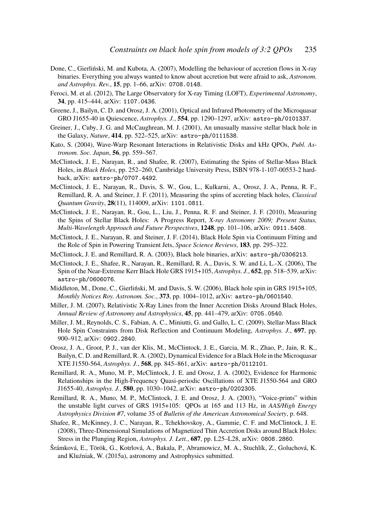- Done, C., Gierliński, M. and Kubota, A. (2007), Modelling the behaviour of accretion flows in X-ray binaries. Everything you always wanted to know about accretion but were afraid to ask, *Astronom. and Astrophys. Rev.*, 15, pp. 1–66, arXiv: 0708.0148.
- Feroci, M. et al. (2012), The Large Observatory for X-ray Timing (LOFT), *Experimental Astronomy*, 34, pp. 415–444, arXiv: 1107.0436.
- Greene, J., Bailyn, C. D. and Orosz, J. A. (2001), Optical and Infrared Photometry of the Microquasar GRO J1655-40 in Quiescence, *Astrophys. J.*, 554, pp. 1290–1297, arXiv: astro-ph/0101337.
- Greiner, J., Cuby, J. G. and McCaughrean, M. J. (2001), An unusually massive stellar black hole in the Galaxy, *Nature*, 414, pp. 522–525, arXiv: astro-ph/0111538.
- Kato, S. (2004), Wave-Warp Resonant Interactions in Relativistic Disks and kHz QPOs, *Publ. Astronom. Soc. Japan*, 56, pp. 559–567.
- McClintock, J. E., Narayan, R., and Shafee, R. (2007), Estimating the Spins of Stellar-Mass Black Holes, in *Black Holes*, pp. 252–260, Cambridge University Press, ISBN 978-1-107-00553-2 hardback, arXiv: astro-ph/0707.4492.
- McClintock, J. E., Narayan, R., Davis, S. W., Gou, L., Kulkarni, A., Orosz, J. A., Penna, R. F., Remillard, R. A. and Steiner, J. F. (2011), Measuring the spins of accreting black holes, *Classical Quantum Gravity*, 28(11), 114009, arXiv: 1101.0811.
- McClintock, J. E., Narayan, R., Gou, L., Liu, J., Penna, R. F. and Steiner, J. F. (2010), Measuring the Spins of Stellar Black Holes: A Progress Report, *X-ray Astronomy 2009; Present Status, Multi-Wavelength Approach and Future Perspectives*, 1248, pp. 101–106, arXiv: 0911.5408.
- McClintock, J. E., Narayan, R. and Steiner, J. F. (2014), Black Hole Spin via Continuum Fitting and the Role of Spin in Powering Transient Jets, *Space Science Reviews*, 183, pp. 295–322.
- McClintock, J. E. and Remillard, R. A. (2003), Black hole binaries, arXiv: astro-ph/0306213.
- McClintock, J. E., Shafee, R., Narayan, R., Remillard, R. A., Davis, S. W. and Li, L.-X. (2006), The Spin of the Near-Extreme Kerr Black Hole GRS 1915+105, *Astrophys. J.*, 652, pp. 518–539, arXiv: astro-ph/0606076.
- Middleton, M., Done, C., Gierliński, M. and Davis, S. W. (2006), Black hole spin in GRS 1915+105, *Monthly Notices Roy. Astronom. Soc.*, 373, pp. 1004–1012, arXiv: astro-ph/0601540.
- Miller, J. M. (2007), Relativistic X-Ray Lines from the Inner Accretion Disks Around Black Holes, *Annual Review of Astronomy and Astrophysics*, 45, pp. 441–479, arXiv: 0705.0540.
- Miller, J. M., Reynolds, C. S., Fabian, A. C., Miniutti, G. and Gallo, L. C. (2009), Stellar-Mass Black Hole Spin Constraints from Disk Reflection and Continuum Modeling, *Astrophys. J.*, 697, pp. 900–912, arXiv: 0902.2840.
- Orosz, J. A., Groot, P. J., van der Klis, M., McClintock, J. E., Garcia, M. R., Zhao, P., Jain, R. K., Bailyn, C. D. and Remillard, R. A. (2002), Dynamical Evidence for a Black Hole in the Microquasar XTE J1550-564, *Astrophys. J.*, 568, pp. 845–861, arXiv: astro-ph/0112101.
- Remillard, R. A., Muno, M. P., McClintock, J. E. and Orosz, J. A. (2002), Evidence for Harmonic Relationships in the High-Frequency Quasi-periodic Oscillations of XTE J1550-564 and GRO J1655-40, *Astrophys. J.*, 580, pp. 1030–1042, arXiv: astro-ph/0202305.
- Remillard, R. A., Muno, M. P., McClintock, J. E. and Orosz, J. A. (2003), "Voice-prints" within the unstable light curves of GRS 1915+105: QPOs at 165 and 113 Hz, in *AAS/High Energy Astrophysics Division #7*, volume 35 of *Bulletin of the American Astronomical Society*, p. 648.
- Shafee, R., McKinney, J. C., Narayan, R., Tchekhovskoy, A., Gammie, C. F. and McClintock, J. E. (2008), Three-Dimensional Simulations of Magnetized Thin Accretion Disks around Black Holes: Stress in the Plunging Region, *Astrophys. J. Lett.*, 687, pp. L25–L28, arXiv: 0808.2860.
- Šrámková, E., Török, G., Kotrlová, A., Bakala, P., Abramowicz, M. A., Stuchlík, Z., Goluchová, K. and Kluźniak, W. (2015a), astronomy and Astrophysics submitted.